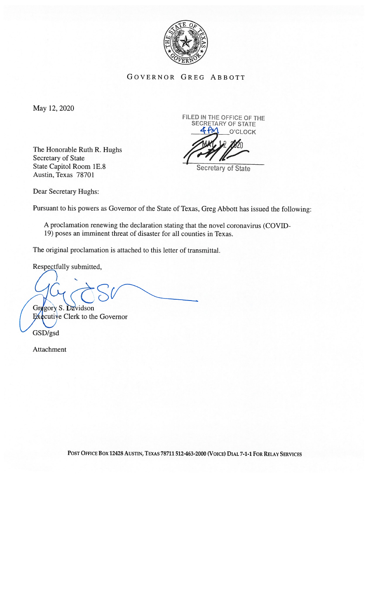

GOVERNOR GREG ABBOTT

May 12, 2020

The Honorable Ruth R. Hughs<br>Secretary of State State Capitol Room 1E.8 Secretary of State Austin, Texas 78701

FILED IN THE OFFICE OF THE SECRETARY OF STATE O'CLOCK

Dear Secretary Hughs:

Pursuant to his powers as Governor of the State of Texas, Greg Abbott has issued the following:

A proclamation renewing the declaration stating that the novel coronavirus (COVID 19) poses an imminent threat of disaster for all counties in Texas.

The original proclamation is attached to this letter of transmittal.

Respectfully submitted,

S Gregory S. Davidson

Executive Clerk to the Governor

GSD/gsd

Attachment

POST OFFICE BOX 12428 AUSTIN, TEXAS 78711 512-463-2000 (VOICE) DIAL 7-1-1 FOR RELAY SERVICES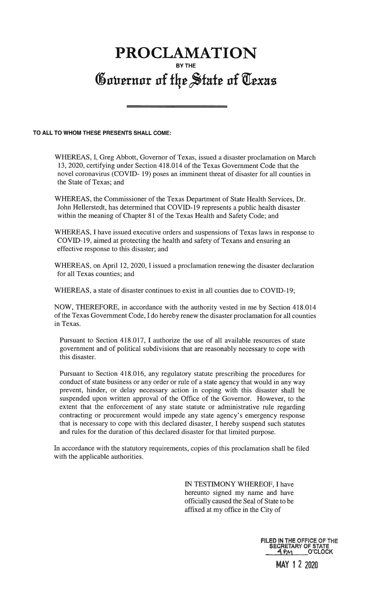## PROCLAMATION BY THE Governor of the State of Texas

## TO ALL TO WHOM THESE PRESENTS SHALL COME:

WHEREAS, I, Greg Abbott, Governor of Texas, issued a disaster proclamation on March 13, 2020, certifying under Section 418.014 of the Texas Government Code that the novel coronavirus (COVID- 19) poses an imminent threat of disaster for all counties in the State of Texas; and

WHEREAS, the Commissioner of the Texas Department of State Health Services, Dr. John Hellerstedt, has determined that COVID- 19 represents a public health disaster within the meaning of Chapter 81 of the Texas Health and Safety Code; and

WHEREAS, I have issued executive orders and suspensions of Texas laws in response to COVID-19, aimed at protecting the health and safety of Texans and ensuring an effective response to this disaster; and

WHEREAS, on April 12, 2020, <sup>I</sup> issued a proclamation renewing the disaster declaration for all Texas counties; and

WHEREAS, a state of disaster continues to exist in all counties due to COVID-19;

NOW, THEREFORE, in accordance with the authority vested in me by Section 4 18.014 of the Texas Government Code, <sup>I</sup> do hereby renew the disaster proclamation for all counties in Texas.

Pursuant to Section 418.017, <sup>1</sup> authorize the use of all available resources of state government and of political subdivisions that are reasonably necessary to cope with this disaster.

Pursuant to Section 418.016, any regulatory statute prescribing the procedures for conduct of state business or any order or rule of a state agency that would in any way prevent, hinder, or delay necessary action in coping with this disaster shall be suspended upon written approval of the Office of the Governor. However, to the extent that the enforcement of any state statute or administrative rule regarding contracting or procurement would impede any state agency's emergency response that is necessary to cope with this declared disaster, <sup>I</sup> hereby suspend such statutes and rules for the duration of this declared disaster for that limited purpose.

In accordance with the statutory requirements, copies of this proclamation shall be filed with the applicable authorities.

> IN TESTIMONY WHEREOF, I have hereunto signed my name and have officially caused the Seal of State to be affixed at my office in the City of

> > FILED IN THE OFFICE OF THE SECRETARY OF STATE PM O'CLOCK

MAY <sup>1</sup> 2 2020